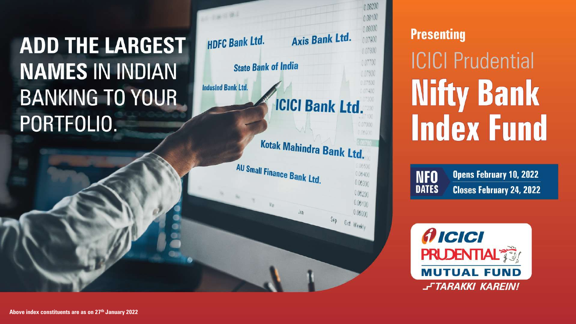# **ADD THE LARGEST NAMES IN INDIAN BANKING TO YOUR** PORTFOLIO.



### **Presenting**

**NFO** 

**ICICI Prudential Nifty Bank Index Fund** 

**Opens February 10, 2022 DATES Closes February 24, 2022** 

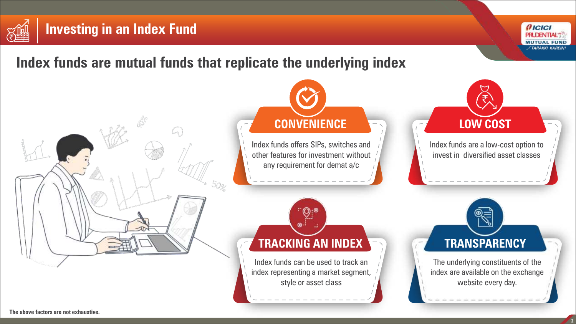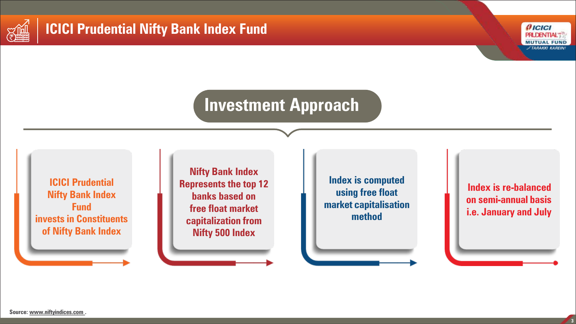

## **ICICI Prudential Nifty Bank Index Fund**



# **Investment Approach**

**ICICI Prudential Nifty Bank Index Fund invests in Constituents of Nifty Bank Index**

**Nifty Bank Index Represents the top 12 banks based on free float market capitalization from Nifty 500 Index**

**Index is computed using free float market capitalisation method**

**Index is re-balanced on semi-annual basis i.e. January and July**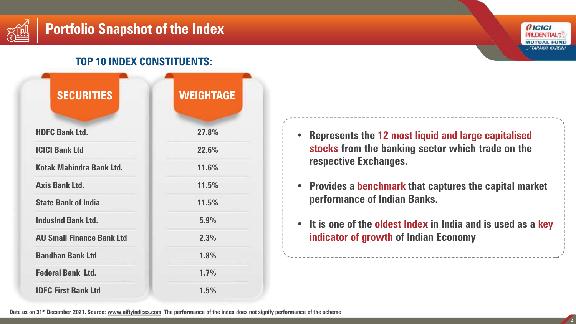

#### **TOP 10 INDEX CONSTITUENTS:**

| <b>SECURITIES</b>                | <b>WEIGHTAGE</b> |
|----------------------------------|------------------|
| <b>HDFC Bank Ltd.</b>            | 27.8%            |
| <b>ICICI Bank Ltd</b>            | 22.6%            |
| <b>Kotak Mahindra Bank Ltd.</b>  | 11.6%            |
| <b>Axis Bank Ltd.</b>            | 11.5%            |
| <b>State Bank of India</b>       | 11.5%            |
| <b>IndusInd Bank Ltd.</b>        | 5.9%             |
| <b>AU Small Finance Bank Ltd</b> | 2.3%             |
| <b>Bandhan Bank Ltd</b>          | 1.8%             |
| <b>Federal Bank Ltd.</b>         | 1.7%             |
| <b>IDFC First Bank Ltd</b>       | 1.5%             |



- **Represents the 12 most liquid and large capitalised stocks from the banking sector which trade on the respective Exchanges.**
- **Provides a benchmark that captures the capital market performance of Indian Banks.**
- **It is one of the oldest Index in India and is used as a key indicator of growth of Indian Economy**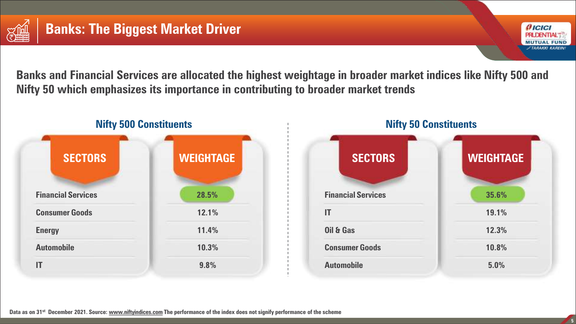



**Banks and Financial Services are allocated the highest weightage in broader market indices like Nifty 500 and Nifty 50 which emphasizes its importance in contributing to broader market trends**



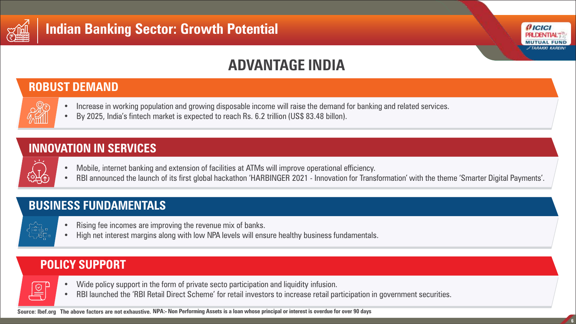



# **ADVANTAGE INDIA**

#### **ROBUST DEMAND**

- Increase in working population and growing disposable income will raise the demand for banking and related services.
	- By 2025, India's fintech market is expected to reach Rs. 6.2 trillion (US\$ 83.48 billon).

#### **INNOVATION IN SERVICES**

- Mobile, internet banking and extension of facilities at ATMs will improve operational efficiency.
- RBI announced the launch of its first global hackathon 'HARBINGER 2021 Innovation for Transformation' with the theme 'Smarter Digital Payments'.

### **BUSINESS FUNDAMENTALS**

- 
- Rising fee incomes are improving the revenue mix of banks.
- High net interest margins along with low NPA levels will ensure healthy business fundamentals.

### **POLICY SUPPORT**



- Wide policy support in the form of private secto participation and liquidity infusion.
- RBI launched the 'RBI Retail Direct Scheme' for retail investors to increase retail participation in government securities.

**Source: Ibef.org The above factors are not exhaustive. NPA:- Non Performing Assets is a loan whose principal or interest is overdue for over 90 days**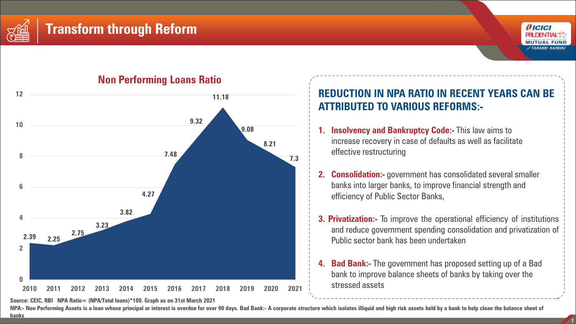





#### **Non Performing Loans Ratio**

**Source: CEIC, RBI NPA Ratio= (NPA/Total loans)\*100. Graph as on 31st March 2021**

#### 11.18 **REDUCTION IN NPA RATIO IN RECENT YEARS CAN BE ATTRIBUTED TO VARIOUS REFORMS:-**

- **1. Insolvency and Bankruptcy Code:-** This law aims to increase recovery in case of defaults as well as facilitate effective restructuring
- **2. Consolidation:-** government has consolidated several smaller banks into larger banks, to improve financial strength and efficiency of Public Sector Banks,
- **3. Privatization:-** To improve the operational efficiency of institutions and reduce government spending consolidation and privatization of Public sector bank has been undertaken
- **4. Bad Bank:-** The government has proposed setting up of a Bad bank to improve balance sheets of banks by taking over the stressed assets

NPA:- Non Performing Assets is a loan whose principal or interest is overdue for over 90 days. Bad Bank:- A corporate structure which isolates illiquid and high risk assets held by a bank to help clean the balance sheet of **banks**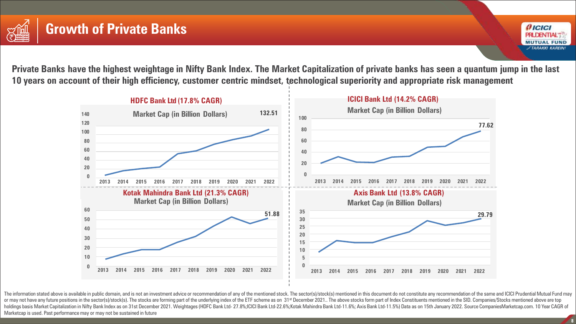



**Private Banks have the highest weightage in Nifty Bank Index. The Market Capitalization of private banks has seen a quantum jump in the last 10 years on account of their high efficiency, customer centric mindset, technological superiority and appropriate risk management**



The information stated above is available in public domain, and is not an investment advice or recommendation of any of the mentioned stock. The sector(s)/stock(s) mentioned in this document do not constitute any recommend or may not have any future positions in the sector(s)/stock(s). The stocks are forming part of the underlying index of the ETF scheme as on 31<sup>st</sup> December 2021.. The above stocks form part of Index Constituents mentioned holdings basis Market Capitalization in Nifty Bank Index as on 31st December 2021. Weightages (HDFC Bank Ltd-27.8%;ICICI Bank Ltd-22.6%;Kotak Mahindra Bank Ltd-11.6%; Axis Bank Ltd-11.5%) Data as on 15th January 2022. Sour Marketcap is used. Past performance may or may not be sustained in future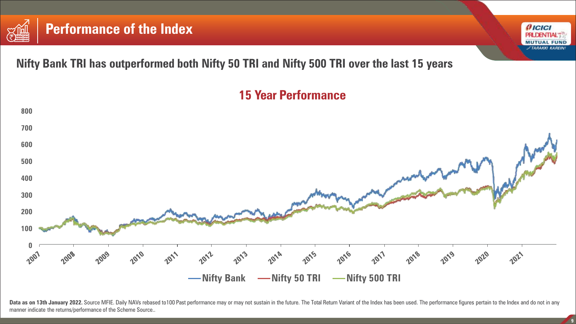

**Nifty Bank TRI has outperformed both Nifty 50 TRI and Nifty 500 TRI over the last 15 years**



Data as on 13th January 2022. Source MFIE. Daily NAVs rebased to100 Past performance may or may not sustain in the future. The Total Return Variant of the Index has been used. The performance figures pertain to the Index a manner indicate the returns/performance of the Scheme Source..

 $f$ ICICI **PRUDENTIAL MUTUAL FUND FTARAKKI KAREIN**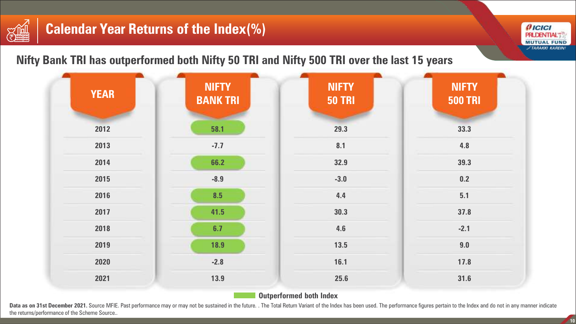# **Calendar Year Returns of the Index(%)**

3篇

**Nifty Bank TRI has outperformed both Nifty 50 TRI and Nifty 500 TRI over the last 15 years**



**Outperformed both Index**

Data as on 31st December 2021. Source MFIE. Past performance may or may not be sustained in the future. . The Total Return Variant of the Index has been used. The performance figures pertain to the Index and do not in any the returns/performance of the Scheme Source..

**10**

*AICICI* **PRUDENTIAL** 

**MUTUAL FUND FTARAKKI KAREINI**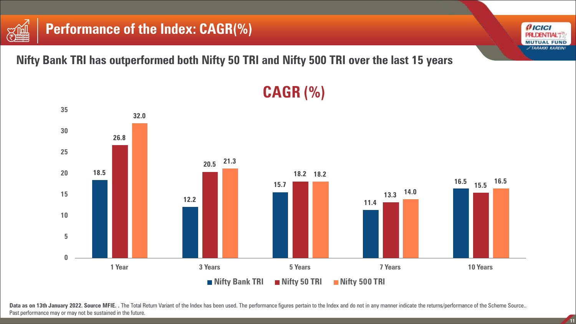



## **Performance of the Index: CAGR(%)**

**Nifty Bank TRI has outperformed both Nifty 50 TRI and Nifty 500 TRI over the last 15 years**



# **CAGR (%)**



 $f$ ICICI **PRUDENTIAL MUTUAL FUND FTARAKKI KAREINI**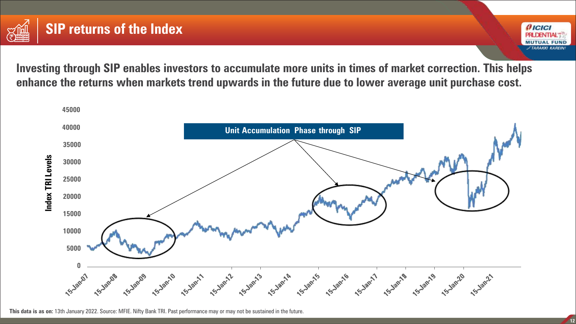



**Investing through SIP enables investors to accumulate more units in times of market correction. This helps enhance the returns when markets trend upwards in the future due to lower average unit purchase cost.**



**This data is as on:** 13th January 2022. Source: MFIE. Nifty Bank TRI. Past performance may or may not be sustained in the future.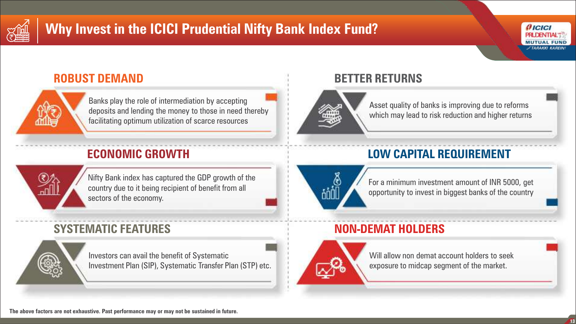

# **Why Invest in the ICICI Prudential Nifty Bank Index Fund?**



#### **ROBUST DEMAND**



Banks play the role of intermediation by accepting deposits and lending the money to those in need thereby facilitating optimum utilization of scarce resources

### **ECONOMIC GROWTH**



Nifty Bank index has captured the GDP growth of the country due to it being recipient of benefit from all sectors of the economy.

### **SYSTEMATIC FEATURES**



Investors can avail the benefit of Systematic Investment Plan (SIP), Systematic Transfer Plan (STP) etc.

### **BETTER RETURNS**



Asset quality of banks is improving due to reforms which may lead to risk reduction and higher returns

### **LOW CAPITAL REQUIREMENT**



For a minimum investment amount of INR 5000, get opportunity to invest in biggest banks of the country

### **NON-DEMAT HOLDERS**



Will allow non demat account holders to seek exposure to midcap segment of the market.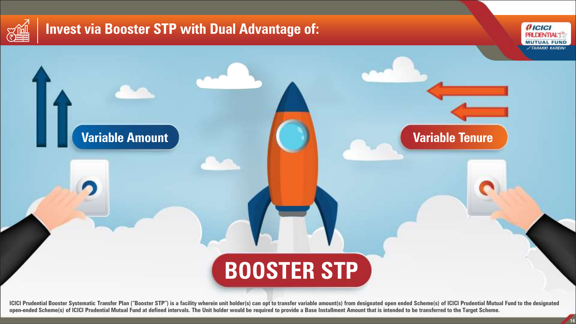

## **Invest via Booster STP with Dual Advantage of:**

**Variable Amount**



**Variable Tenure**

# **BOOSTER STP**

ICICI Prudential Booster Systematic Transfer Plan ("Booster STP") is a facility wherein unit holder(s) can opt to transfer variable amount(s) from designated open ended Scheme(s) of ICICI Prudential Mutual Fund to the desi open-ended Scheme(s) of ICICI Prudential Mutual Fund at defined intervals. The Unit holder would be required to provide a Base Installment Amount that is intended to be transferred to the Target Scheme.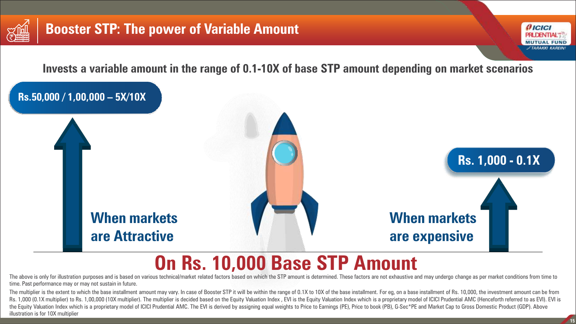



**Invests a variable amount in the range of 0.1-10X of base STP amount depending on market scenarios**



# **On Rs. 10,000 Base STP Amount**

The above is only for illustration purposes and is based on various technical/market related factors based on which the STP amount is determined. These factors are not exhaustive and may undergo change as per market condit time. Past performance may or may not sustain in future.

The multiplier is the extent to which the base installment amount may vary. In case of Booster STP it will be within the range of 0.1X to 10X of the base installment. For eq, on a base installment of Rs. 10,000, the invest Rs. 1,000 (0.1X multiplier) to Rs. 1,00,000 (10X multiplier). The multiplier is decided based on the Equity Valuation Index, EVI is the Equity Valuation Index which is a proprietary model of ICICI Prudential AMC (Hencefort the Equity Valuation Index which is a proprietary model of ICICI Prudential AMC. The EVI is derived by assigning equal weights to Price to Earnings (PE), Price to book (PB), G-Sec\*PE and Market Cap to Gross Domestic Produc illustration is for 10X multiplier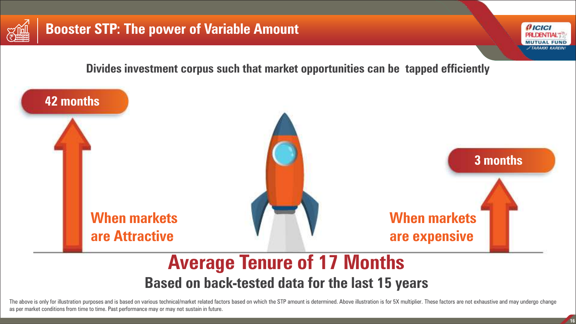



**Divides investment corpus such that market opportunities can be tapped efficiently**



**Based on back-tested data for the last 15 years**

The above is only for illustration purposes and is based on various technical/market related factors based on which the STP amount is determined. Above illustration is for 5X multiplier. These factors are not exhaustive an as per market conditions from time to time. Past performance may or may not sustain in future.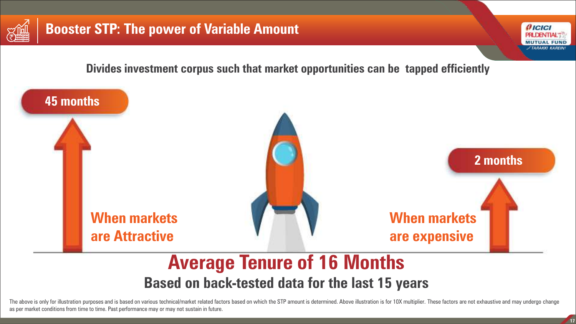



**Divides investment corpus such that market opportunities can be tapped efficiently**



**Based on back-tested data for the last 15 years**

The above is only for illustration purposes and is based on various technical/market related factors based on which the STP amount is determined. Above illustration is for 10X multiplier. These factors are not exhaustive a as per market conditions from time to time. Past performance may or may not sustain in future.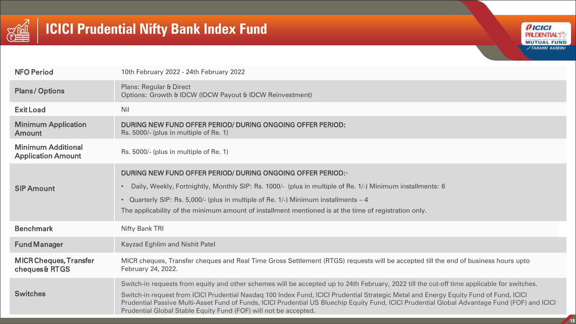

# **ICICI Prudential Nifty Bank Index Fund**



| <b>NFO Period</b>                                      | 10th February 2022 - 24th February 2022                                                                                                                                                                                                                                                                                                                                                                                                                                                                   |
|--------------------------------------------------------|-----------------------------------------------------------------------------------------------------------------------------------------------------------------------------------------------------------------------------------------------------------------------------------------------------------------------------------------------------------------------------------------------------------------------------------------------------------------------------------------------------------|
| <b>Plans/Options</b>                                   | <b>Plans: Regular &amp; Direct</b><br>Options: Growth & IDCW (IDCW Payout & IDCW Reinvestment)                                                                                                                                                                                                                                                                                                                                                                                                            |
| <b>Exit Load</b>                                       | Nil                                                                                                                                                                                                                                                                                                                                                                                                                                                                                                       |
| <b>Minimum Application</b><br><b>Amount</b>            | DURING NEW FUND OFFER PERIOD/ DURING ONGOING OFFER PERIOD:<br>Rs. 5000/- (plus in multiple of Re. 1)                                                                                                                                                                                                                                                                                                                                                                                                      |
| <b>Minimum Additional</b><br><b>Application Amount</b> | Rs. 5000/- (plus in multiple of Re. 1)                                                                                                                                                                                                                                                                                                                                                                                                                                                                    |
| <b>SIP Amount</b>                                      | DURING NEW FUND OFFER PERIOD/ DURING ONGOING OFFER PERIOD:<br>Daily, Weekly, Fortnightly, Monthly SIP: Rs. 1000/- (plus in multiple of Re. 1/-) Minimum installments: 6<br>• Quarterly SIP: Rs. 5,000/- (plus in multiple of Re. 1/-) Minimum installments - 4<br>The applicability of the minimum amount of installment mentioned is at the time of registration only.                                                                                                                                   |
| <b>Benchmark</b>                                       | <b>Nifty Bank TRI</b>                                                                                                                                                                                                                                                                                                                                                                                                                                                                                     |
| <b>Fund Manager</b>                                    | <b>Kayzad Eghlim and Nishit Patel</b>                                                                                                                                                                                                                                                                                                                                                                                                                                                                     |
| <b>MICR Cheques, Transfer</b><br>cheques& RTGS         | MICR cheques, Transfer cheques and Real Time Gross Settlement (RTGS) requests will be accepted till the end of business hours upto<br>February 24, 2022.                                                                                                                                                                                                                                                                                                                                                  |
| <b>Switches</b>                                        | Switch-in requests from equity and other schemes will be accepted up to 24th February, 2022 till the cut-off time applicable for switches.<br>Switch-in request from ICICI Prudential Nasdaq 100 Index Fund, ICICI Prudential Strategic Metal and Energy Equity Fund of Fund, ICICI<br>Prudential Passive Multi-Asset Fund of Funds, ICICI Prudential US Bluechip Equity Fund, ICICI Prudential Global Advantage Fund (FOF) and ICICI<br>Prudential Global Stable Equity Fund (FOF) will not be accepted. |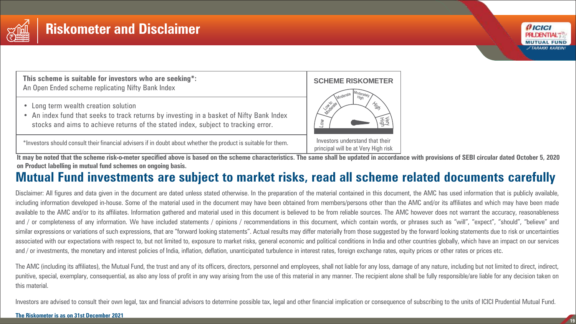

### **Riskometer and Disclaimer**

**This scheme is suitable for investors who are seeking\*:** An Open Ended scheme replicating Nifty Bank Index

- Long term wealth creation solution
- An index fund that seeks to track returns by investing in a basket of Nifty Bank Index stocks and aims to achieve returns of the stated index, subject to tracking error.

\*Investors should consult their financial advisers if in doubt about whether the product is suitable for them.

principal will be at Very High risk It may be noted that the scheme risk-o-meter specified above is based on the scheme characteristics. The same shall be updated in accordance with provisions of SEBI circular dated October 5, 2020 **on Product labelling in mutual fund schemes on ongoing basis.**

### **Mutual Fund investments are subject to market risks, read all scheme related documents carefully**

Disclaimer: All figures and data given in the document are dated unless stated otherwise. In the preparation of the material contained in this document, the AMC has used information that is publicly available, including information developed in-house. Some of the material used in the document may have been obtained from members/persons other than the AMC and/or its affiliates and which may have been made available to the AMC and/or to its affiliates. Information gathered and material used in this document is believed to be from reliable sources. The AMC however does not warrant the accuracy, reasonableness and / or completeness of any information. We have included statements / opinions / recommendations in this document, which contain words, or phrases such as "will", "expect", "should", "believe" and similar expressions or variations of such expressions, that are "forward looking statements". Actual results may differ materially from those suggested by the forward looking statements due to risk or uncertainties associated with our expectations with respect to, but not limited to, exposure to market risks, general economic and political conditions in India and other countries globally, which have an impact on our services and / or investments, the monetary and interest policies of India, inflation, deflation, unanticipated turbulence in interest rates, foreign exchange rates, equity prices or other rates or prices etc.

The AMC (including its affiliates), the Mutual Fund, the trust and any of its officers, directors, personnel and employees, shall not liable for any loss, damage of any nature, including but not limited to direct, indirect, punitive, special, exemplary, consequential, as also any loss of profit in any way arising from the use of this material in any manner. The recipient alone shall be fully responsible/are liable for any decision taken on this material.

Investors are advised to consult their own legal, tax and financial advisors to determine possible tax, legal and other financial implication or consequence of subscribing to the units of ICICI Prudential Mutual Fund.





*AICICI* **PRUDENTIAL MUTUAL FUND** *FTARAKKI KAREINI*